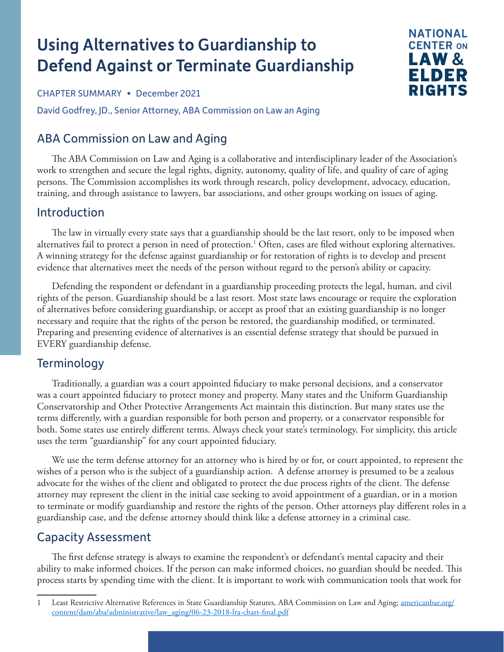# Using Alternatives to Guardianship to Defend Against or Terminate Guardianship

CHAPTER SUMMARY • December 2021

David Godfrey, JD., Senior Attorney, ABA Commission on Law an Aging

# ABA Commission on Law and Aging

The ABA Commission on Law and Aging is a collaborative and interdisciplinary leader of the Association's work to strengthen and secure the legal rights, dignity, autonomy, quality of life, and quality of care of aging persons. The Commission accomplishes its work through research, policy development, advocacy, education, training, and through assistance to lawyers, bar associations, and other groups working on issues of aging.

**NATIONAL CENTER ON** LAW & ELDER RIGHTS

## Introduction

The law in virtually every state says that a guardianship should be the last resort, only to be imposed when alternatives fail to protect a person in need of protection.<sup>1</sup> Often, cases are filed without exploring alternatives. A winning strategy for the defense against guardianship or for restoration of rights is to develop and present evidence that alternatives meet the needs of the person without regard to the person's ability or capacity.

Defending the respondent or defendant in a guardianship proceeding protects the legal, human, and civil rights of the person. Guardianship should be a last resort. Most state laws encourage or require the exploration of alternatives before considering guardianship, or accept as proof that an existing guardianship is no longer necessary and require that the rights of the person be restored, the guardianship modified, or terminated. Preparing and presenting evidence of alternatives is an essential defense strategy that should be pursued in EVERY guardianship defense.

## **Terminology**

Traditionally, a guardian was a court appointed fiduciary to make personal decisions, and a conservator was a court appointed fiduciary to protect money and property. Many states and the Uniform Guardianship Conservatorship and Other Protective Arrangements Act maintain this distinction. But many states use the terms differently, with a guardian responsible for both person and property, or a conservator responsible for both. Some states use entirely different terms. Always check your state's terminology. For simplicity, this article uses the term "guardianship" for any court appointed fiduciary.

We use the term defense attorney for an attorney who is hired by or for, or court appointed, to represent the wishes of a person who is the subject of a guardianship action. A defense attorney is presumed to be a zealous advocate for the wishes of the client and obligated to protect the due process rights of the client. The defense attorney may represent the client in the initial case seeking to avoid appointment of a guardian, or in a motion to terminate or modify guardianship and restore the rights of the person. Other attorneys play different roles in a guardianship case, and the defense attorney should think like a defense attorney in a criminal case.

# Capacity Assessment

The first defense strategy is always to examine the respondent's or defendant's mental capacity and their ability to make informed choices. If the person can make informed choices, no guardian should be needed. This process starts by spending time with the client. It is important to work with communication tools that work for

<sup>1</sup> Least Restrictive Alternative References in State Guardianship Statutes, ABA Commission on Law and Aging; [americanbar.org/](https://www.americanbar.org/content/dam/aba/administrative/law_aging/06-23-2018-lra-chart-final.pdf) [content/dam/aba/administrative/law\\_aging/06-23-2018-lra-chart-final.pdf](https://www.americanbar.org/content/dam/aba/administrative/law_aging/06-23-2018-lra-chart-final.pdf)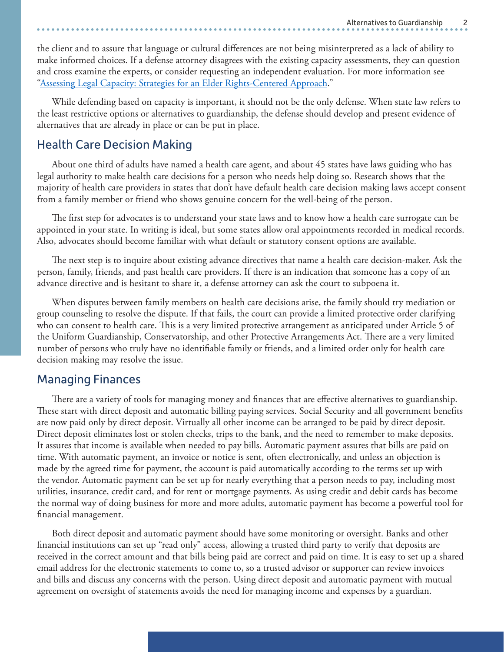the client and to assure that language or cultural differences are not being misinterpreted as a lack of ability to make informed choices. If a defense attorney disagrees with the existing capacity assessments, they can question and cross examine the experts, or consider requesting an independent evaluation. For more information see ["Assessing Legal Capacity: Strategies for an Elder Rights-Centered Approach.](https://ncler.acl.gov/getattachment/legal-training/upcoming_event/Capacity-Assessment-Ch-Summary.pdf.aspx?lang=en-US)"

While defending based on capacity is important, it should not be the only defense. When state law refers to the least restrictive options or alternatives to guardianship, the defense should develop and present evidence of alternatives that are already in place or can be put in place.

### Health Care Decision Making

About one third of adults have named a health care agent, and about 45 states have laws guiding who has legal authority to make health care decisions for a person who needs help doing so. Research shows that the majority of health care providers in states that don't have default health care decision making laws accept consent from a family member or friend who shows genuine concern for the well-being of the person.

The first step for advocates is to understand your state laws and to know how a health care surrogate can be appointed in your state. In writing is ideal, but some states allow oral appointments recorded in medical records. Also, advocates should become familiar with what default or statutory consent options are available.

The next step is to inquire about existing advance directives that name a health care decision-maker. Ask the person, family, friends, and past health care providers. If there is an indication that someone has a copy of an advance directive and is hesitant to share it, a defense attorney can ask the court to subpoena it.

When disputes between family members on health care decisions arise, the family should try mediation or group counseling to resolve the dispute. If that fails, the court can provide a limited protective order clarifying who can consent to health care. This is a very limited protective arrangement as anticipated under Article 5 of the Uniform Guardianship, Conservatorship, and other Protective Arrangements Act. There are a very limited number of persons who truly have no identifiable family or friends, and a limited order only for health care decision making may resolve the issue.

## Managing Finances

There are a variety of tools for managing money and finances that are effective alternatives to guardianship. These start with direct deposit and automatic billing paying services. Social Security and all government benefits are now paid only by direct deposit. Virtually all other income can be arranged to be paid by direct deposit. Direct deposit eliminates lost or stolen checks, trips to the bank, and the need to remember to make deposits. It assures that income is available when needed to pay bills. Automatic payment assures that bills are paid on time. With automatic payment, an invoice or notice is sent, often electronically, and unless an objection is made by the agreed time for payment, the account is paid automatically according to the terms set up with the vendor. Automatic payment can be set up for nearly everything that a person needs to pay, including most utilities, insurance, credit card, and for rent or mortgage payments. As using credit and debit cards has become the normal way of doing business for more and more adults, automatic payment has become a powerful tool for financial management.

Both direct deposit and automatic payment should have some monitoring or oversight. Banks and other financial institutions can set up "read only" access, allowing a trusted third party to verify that deposits are received in the correct amount and that bills being paid are correct and paid on time. It is easy to set up a shared email address for the electronic statements to come to, so a trusted advisor or supporter can review invoices and bills and discuss any concerns with the person. Using direct deposit and automatic payment with mutual agreement on oversight of statements avoids the need for managing income and expenses by a guardian.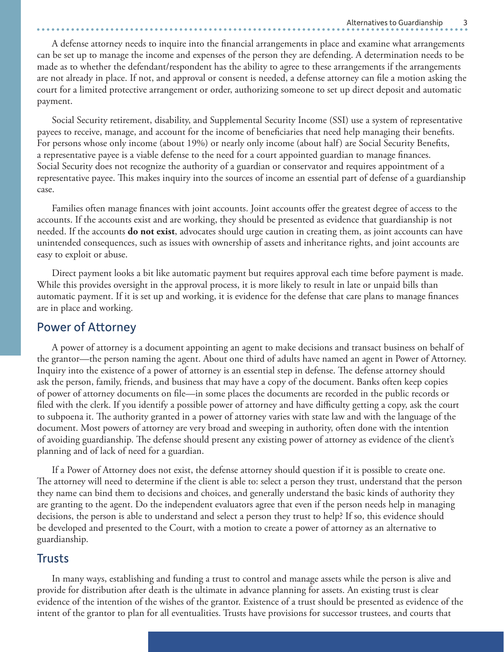A defense attorney needs to inquire into the financial arrangements in place and examine what arrangements can be set up to manage the income and expenses of the person they are defending. A determination needs to be made as to whether the defendant/respondent has the ability to agree to these arrangements if the arrangements are not already in place. If not, and approval or consent is needed, a defense attorney can file a motion asking the court for a limited protective arrangement or order, authorizing someone to set up direct deposit and automatic payment.

Social Security retirement, disability, and Supplemental Security Income (SSI) use a system of representative payees to receive, manage, and account for the income of beneficiaries that need help managing their benefits. For persons whose only income (about 19%) or nearly only income (about half) are Social Security Benefits, a representative payee is a viable defense to the need for a court appointed guardian to manage finances. Social Security does not recognize the authority of a guardian or conservator and requires appointment of a representative payee. This makes inquiry into the sources of income an essential part of defense of a guardianship case.

Families often manage finances with joint accounts. Joint accounts offer the greatest degree of access to the accounts. If the accounts exist and are working, they should be presented as evidence that guardianship is not needed. If the accounts **do not exist**, advocates should urge caution in creating them, as joint accounts can have unintended consequences, such as issues with ownership of assets and inheritance rights, and joint accounts are easy to exploit or abuse.

Direct payment looks a bit like automatic payment but requires approval each time before payment is made. While this provides oversight in the approval process, it is more likely to result in late or unpaid bills than automatic payment. If it is set up and working, it is evidence for the defense that care plans to manage finances are in place and working.

#### Power of Attorney

A power of attorney is a document appointing an agent to make decisions and transact business on behalf of the grantor—the person naming the agent. About one third of adults have named an agent in Power of Attorney. Inquiry into the existence of a power of attorney is an essential step in defense. The defense attorney should ask the person, family, friends, and business that may have a copy of the document. Banks often keep copies of power of attorney documents on file—in some places the documents are recorded in the public records or filed with the clerk. If you identify a possible power of attorney and have difficulty getting a copy, ask the court to subpoena it. The authority granted in a power of attorney varies with state law and with the language of the document. Most powers of attorney are very broad and sweeping in authority, often done with the intention of avoiding guardianship. The defense should present any existing power of attorney as evidence of the client's planning and of lack of need for a guardian.

If a Power of Attorney does not exist, the defense attorney should question if it is possible to create one. The attorney will need to determine if the client is able to: select a person they trust, understand that the person they name can bind them to decisions and choices, and generally understand the basic kinds of authority they are granting to the agent. Do the independent evaluators agree that even if the person needs help in managing decisions, the person is able to understand and select a person they trust to help? If so, this evidence should be developed and presented to the Court, with a motion to create a power of attorney as an alternative to guardianship.

#### Trusts

In many ways, establishing and funding a trust to control and manage assets while the person is alive and provide for distribution after death is the ultimate in advance planning for assets. An existing trust is clear evidence of the intention of the wishes of the grantor. Existence of a trust should be presented as evidence of the intent of the grantor to plan for all eventualities. Trusts have provisions for successor trustees, and courts that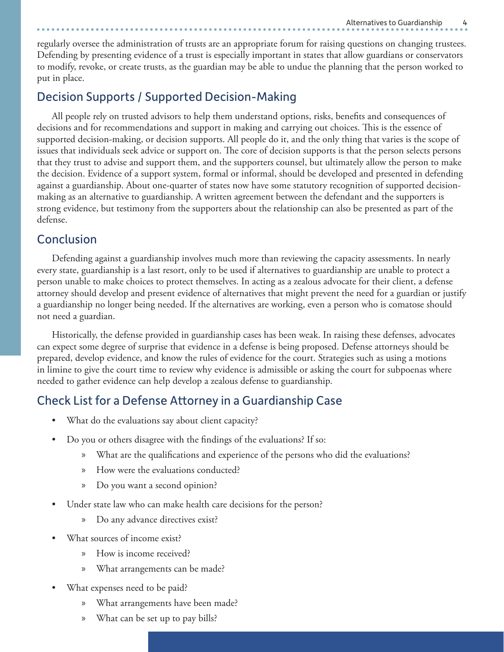regularly oversee the administration of trusts are an appropriate forum for raising questions on changing trustees. Defending by presenting evidence of a trust is especially important in states that allow guardians or conservators to modify, revoke, or create trusts, as the guardian may be able to undue the planning that the person worked to put in place.

# Decision Supports / Supported Decision-Making

All people rely on trusted advisors to help them understand options, risks, benefits and consequences of decisions and for recommendations and support in making and carrying out choices. This is the essence of supported decision-making, or decision supports. All people do it, and the only thing that varies is the scope of issues that individuals seek advice or support on. The core of decision supports is that the person selects persons that they trust to advise and support them, and the supporters counsel, but ultimately allow the person to make the decision. Evidence of a support system, formal or informal, should be developed and presented in defending against a guardianship. About one-quarter of states now have some statutory recognition of supported decisionmaking as an alternative to guardianship. A written agreement between the defendant and the supporters is strong evidence, but testimony from the supporters about the relationship can also be presented as part of the defense.

# Conclusion

Defending against a guardianship involves much more than reviewing the capacity assessments. In nearly every state, guardianship is a last resort, only to be used if alternatives to guardianship are unable to protect a person unable to make choices to protect themselves. In acting as a zealous advocate for their client, a defense attorney should develop and present evidence of alternatives that might prevent the need for a guardian or justify a guardianship no longer being needed. If the alternatives are working, even a person who is comatose should not need a guardian.

Historically, the defense provided in guardianship cases has been weak. In raising these defenses, advocates can expect some degree of surprise that evidence in a defense is being proposed. Defense attorneys should be prepared, develop evidence, and know the rules of evidence for the court. Strategies such as using a motions in limine to give the court time to review why evidence is admissible or asking the court for subpoenas where needed to gather evidence can help develop a zealous defense to guardianship.

# Check List for a Defense Attorney in a Guardianship Case

- What do the evaluations say about client capacity?
- Do you or others disagree with the findings of the evaluations? If so:
	- What are the qualifications and experience of the persons who did the evaluations?
	- » How were the evaluations conducted?
	- » Do you want a second opinion?
- Under state law who can make health care decisions for the person?
	- » Do any advance directives exist?
- What sources of income exist?
	- » How is income received?
	- » What arrangements can be made?
- What expenses need to be paid?
	- » What arrangements have been made?
	- » What can be set up to pay bills?